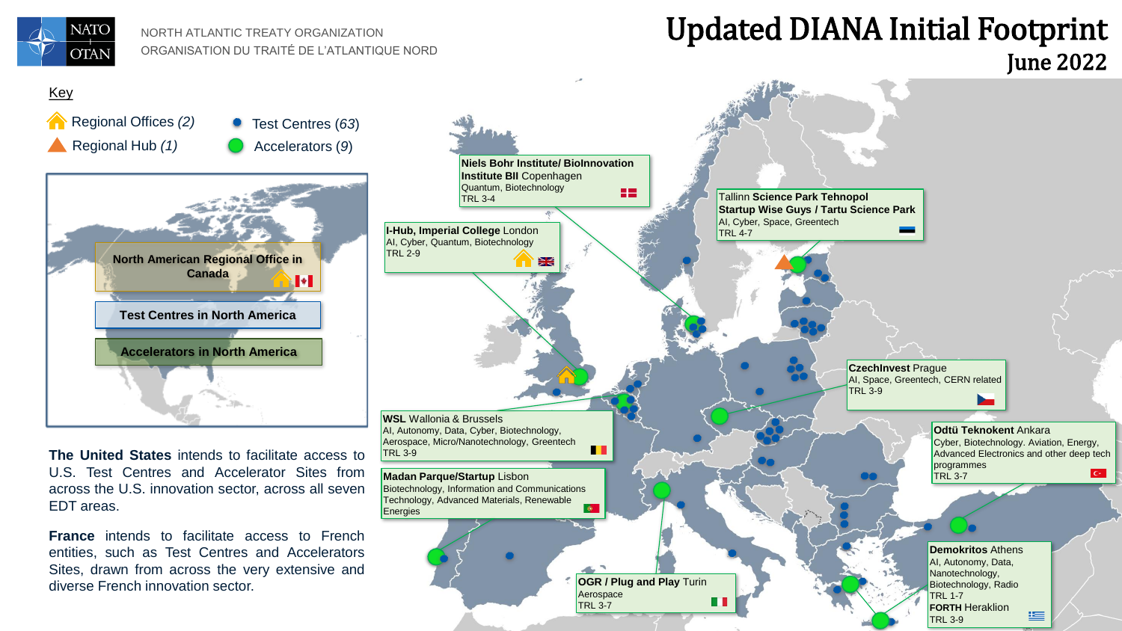

NORTH ATLANTIC TREATY ORGANIZATION ORGANISATION DU TRAITÉ DE L'ATLANTIQUE NORD

## Updated DIANA Initial Footprint June 2022